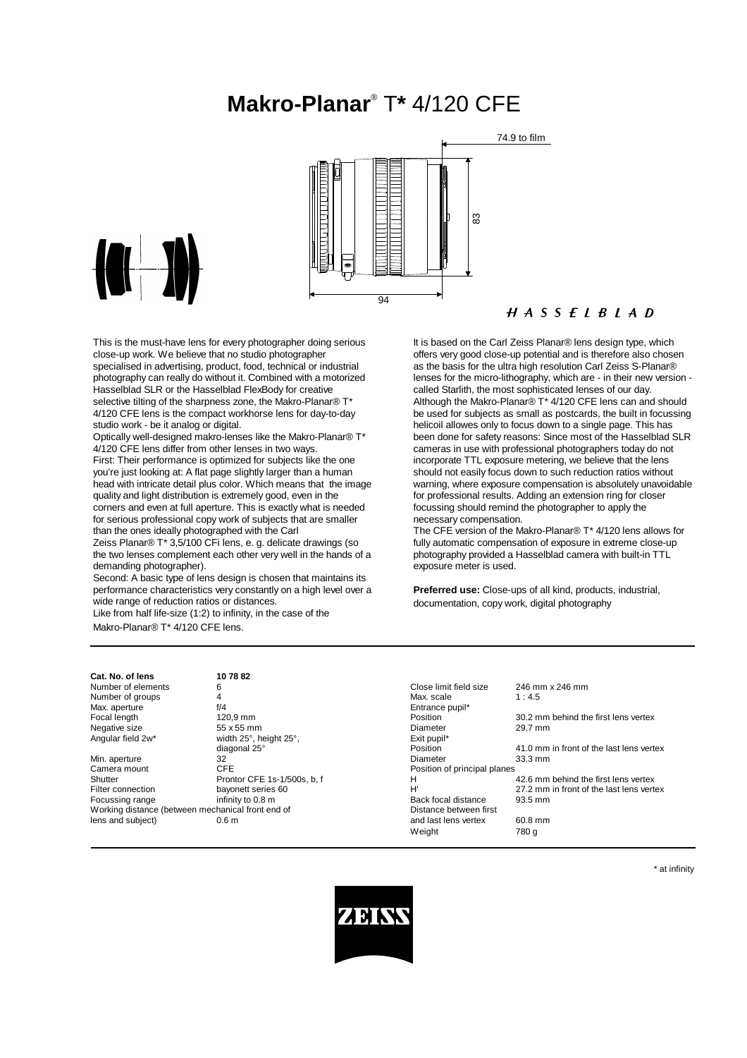# **Makro-Planar**® T**\*** 4/120 CFE





This is the must-have lens for every photographer doing serious close-up work. We believe that no studio photographer specialised in advertising, product, food, technical or industrial photography can really do without it. Combined with a motorized Hasselblad SLR or the Hasselblad FlexBody for creative selective tilting of the sharpness zone, the Makro-Planar® T\* 4/120 CFE lens is the compact workhorse lens for day-to-day studio work - be it analog or digital.

Optically well-designed makro-lenses like the Makro-Planar® T\* 4/120 CFE lens differ from other lenses in two ways. First: Their performance is optimized for subjects like the one you're just looking at: A flat page slightly larger than a human head with intricate detail plus color. Which means that the image quality and light distribution is extremely good, even in the corners and even at full aperture. This is exactly what is needed for serious professional copy work of subjects that are smaller than the ones ideally photographed with the Carl

Zeiss Planar® T\* 3,5/100 CFi lens, e. g. delicate drawings (so the two lenses complement each other very well in the hands of a demanding photographer).

Second: A basic type of lens design is chosen that maintains its performance characteristics very constantly on a high level over a wide range of reduction ratios or distances.

Like from half life-size (1:2) to infinity, in the case of the Makro-Planar® T\* 4/120 CFE lens.

## $H A S S E L B L A D$

It is based on the Carl Zeiss Planar® lens design type, which offers very good close-up potential and is therefore also chosen as the basis for the ultra high resolution Carl Zeiss S-Planar® lenses for the micro-lithography, which are - in their new version called Starlith, the most sophisticated lenses of our day. Although the Makro-Planar® T\* 4/120 CFE lens can and should be used for subjects as small as postcards, the built in focussing helicoil allowes only to focus down to a single page. This has been done for safety reasons: Since most of the Hasselblad SLR cameras in use with professional photographers today do not incorporate TTL exposure metering, we believe that the lens should not easily focus down to such reduction ratios without warning, where exposure compensation is absolutely unavoidable for professional results. Adding an extension ring for closer focussing should remind the photographer to apply the necessary compensation.

The CFE version of the Makro-Planar® T<sup>\*</sup> 4/120 lens allows for fully automatic compensation of exposure in extreme close-up photography provided a Hasselblad camera with built-in TTL exposure meter is used.

**Preferred use:** Close-ups of all kind, products, industrial, documentation, copy work, digital photography

| 107882    |
|-----------|
| 6         |
| 4         |
| f/4       |
| 120.9 mr  |
| 55 x 55 n |
|           |

| כווסו וט. טו וכווס |                                                   |                              |                                          |
|--------------------|---------------------------------------------------|------------------------------|------------------------------------------|
| Number of elements | 6                                                 | Close limit field size       | 246 mm x 246 mm                          |
| Number of groups   | 4                                                 | Max. scale                   | 1:4.5                                    |
| Max. aperture      | f/4                                               | Entrance pupil*              |                                          |
| Focal length       | 120.9 mm                                          | Position                     | 30.2 mm behind the first lens vertex     |
| Negative size      | 55 x 55 mm                                        | Diameter                     | 29.7 mm                                  |
| Angular field 2w*  | width 25°, height 25°,                            | Exit pupil*                  |                                          |
|                    | diagonal 25°                                      | Position                     | 41.0 mm in front of the last lens vertex |
| Min. aperture      | 32                                                | Diameter                     | $33.3 \text{ mm}$                        |
| Camera mount       | <b>CFE</b>                                        | Position of principal planes |                                          |
| Shutter            | Prontor CFE 1s-1/500s, b, f                       | н                            | 42.6 mm behind the first lens vertex     |
| Filter connection  | bayonett series 60                                | H                            | 27.2 mm in front of the last lens vertex |
| Focussing range    | infinity to 0.8 m                                 | Back focal distance          | 93.5 mm                                  |
|                    | Working distance (between mechanical front end of | Distance between first       |                                          |
| lens and subject)  | 0.6 <sub>m</sub>                                  | and last lens vertex         | 60.8 mm                                  |
|                    |                                                   | Weight                       | 780 q                                    |
|                    |                                                   |                              |                                          |

\* at infinity

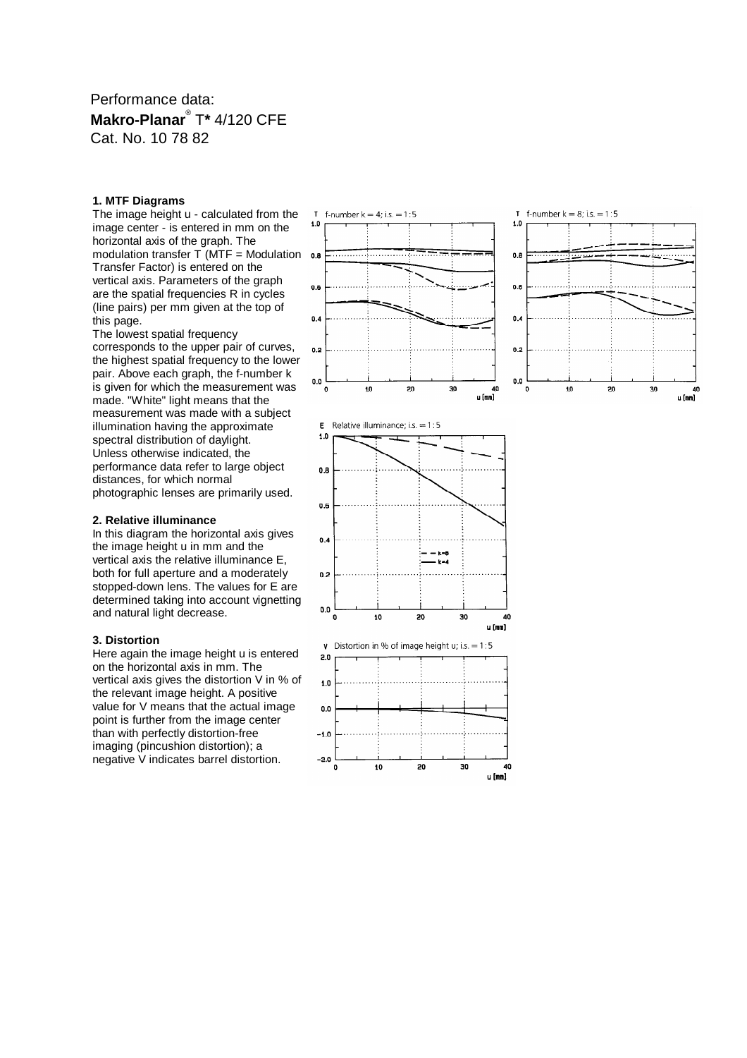Performance data: **Makro-Planar**® T**\*** 4/120 CFE Cat. No. 10 78 82

### **1. MTF Diagrams**

The image height u - calculated from the image center - is entered in mm on the horizontal axis of the graph. The modulation transfer  $\overline{T}$  (MTF = Modulation Transfer Factor) is entered on the vertical axis. Parameters of the graph are the spatial frequencies R in cycles (line pairs) per mm given at the top of this page.

The lowest spatial frequency corresponds to the upper pair of curves, the highest spatial frequency to the lower pair. Above each graph, the f-number k is given for which the measurement was made. "White" light means that the measurement was made with a subject illumination having the approximate spectral distribution of daylight. Unless otherwise indicated, the performance data refer to large object distances, for which normal photographic lenses are primarily used.

#### **2. Relative illuminance**

In this diagram the horizontal axis gives the image height u in mm and the vertical axis the relative illuminance E, both for full aperture and a moderately stopped-down lens. The values for E are determined taking into account vignetting and natural light decrease.

#### **3. Distortion**

Here again the image height u is entered on the horizontal axis in mm. The vertical axis gives the distortion V in % of the relevant image height. A positive value for V means that the actual image point is further from the image center than with perfectly distortion-free imaging (pincushion distortion); a negative V indicates barrel distortion.







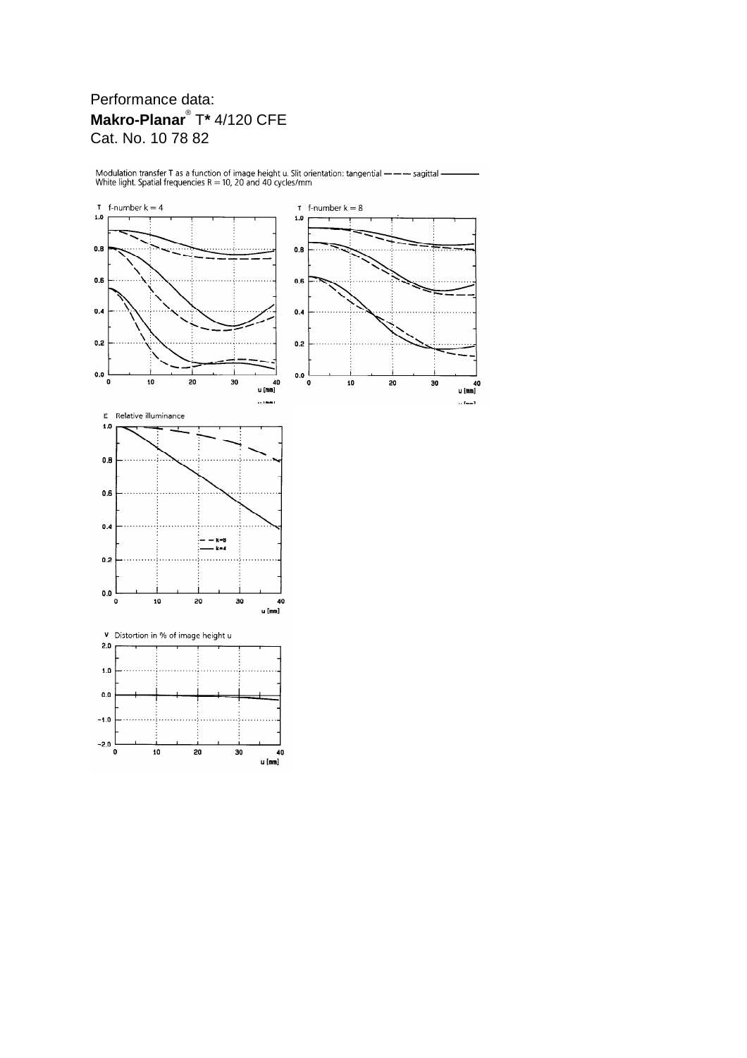# Performance data: **Makro-Planar**® T**\*** 4/120 CFE Cat. No. 10 78 82



Modulation transfer T as a function of image height u. Slit orientation: tangential — — — sagittal -<br>White light. Spatial frequencies R = 10, 20 and 40 cycles/mm